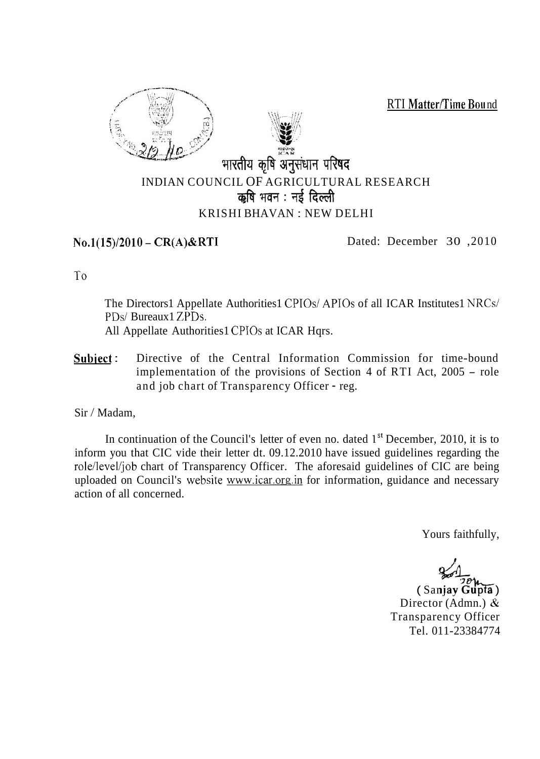**RTI Matter/Time Bound** 





## INDIAN COUNCIL OF AGRICULTURAL RESEARCH भारतीय कृषि अनुसंधान परिषद<br>ICIL OF AGRICULTURA<br>कृषि भवन : नई दिल्ली KRISHI BHAVAN : NEW DELHI

No.1(15)/2010 - CR(A)&RTI Dated: December 30, 2010

To

The Directors1 Appellate Authorities1 CPIOs/ APIOs of all ICAR Institutes1 NRCs/ PDs/ Bureaux1 ZPDs. All Appellate Authorities1 CPIOs at ICAR Hqrs.

Subject: Directive of the Central Information Commission for time-bound implementation of the provisions of Section 4 of RTI Act, 2005 - role and job chart of Transparency Officer - reg.

Sir / Madam,

In continuation of the Council's letter of even no. dated  $1<sup>st</sup>$  December, 2010, it is to inform you that CIC vide their letter dt. 09.12.2010 have issued guidelines regarding the role/level/job chart of Transparency Officer. The aforesaid guidelines of CIC are being uploaded on Council's website www.icar.org.in for information, guidance and necessary action of all concerned.

Yours faithfully,

Yours faithfully,<br> *4- 120*<br>
( Sanjay Gupta )

Director (Admn.) & Transparency Officer Tel. 011-23384774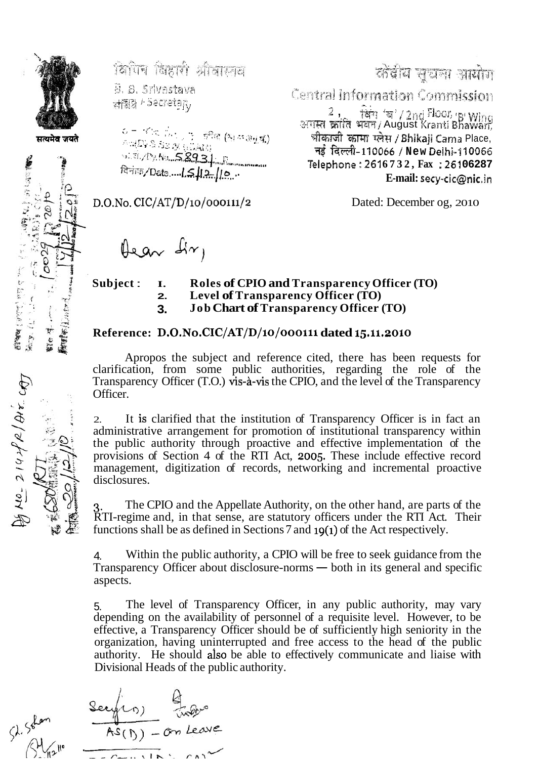

「全て」の

**ELMAN (VOLT) PRESS PRESS**<br>RECORDS TO THE SECTION OF THE SECTION OF THE SECTION OF THE SECTION OF THE SECTION OF THE SECTION OF THE SECTION OF THE SECTION OF THE SECTION OF THE SECTION OF THE SECTION OF THE SECTION OF THE

विपित्र विहारी श्रीवास्तव

8. S. Srivastava ফায়ীর *।* ১২৫ eta $r_{\rm V}$ 

 $\begin{array}{ll} \phi = \neg \psi(\pi_1, \ldots, \pi_n) & \exists \Re \psi \ (\Re \psi \otimes \psi \otimes \psi \otimes \pi) \\ \wedge \neg (\mathbb{D}) \otimes \Im \phi \otimes \psi \ (\exists \deg \psi) \end{array}$ 

 $D.O.No. CIC/AT/D/10/000111/2$ 

Hear dir,

कोंबीय सूचना आयोग

Central Information Commission

2, सिंग 'ब' / 2nd Floor, 15' Wing<br>अगस्त क्रांति भवन / August Kranti Bhawan, भीकाजी कामा प्लेस / Bhikaji Cama Place, नई दिल्ली-110066 / New Delhi-110066 Telephone: 2616732, Fax: 26106287 E-mail: secy-cic@nic.in

Dated: December og, 2010

Subject: I. **Roles of CPIO and Transparency Officer (TO)** Level of Transparency Officer (TO)  $2.$ **Job Chart of Transparency Officer (TO)**  $3<sub>z</sub>$ 

## Reference: D.O.No.CIC/AT/D/10/000111 dated 15.11.2010

Apropos the subject and reference cited, there has been requests for clarification, from some public authorities, regarding the role of the Transparency Officer (T.O.) vis-à-vis the CPIO, and the level of the Transparency Officer.

It is clarified that the institution of Transparency Officer is in fact an  $2.$ administrative arrangement for promotion of institutional transparency within the public authority through proactive and effective implementation of the provisions of Section 4 of the RTI Act, 2005. These include effective record management, digitization of records, networking and incremental proactive disclosures.

The CPIO and the Appellate Authority, on the other hand, are parts of the RTI-regime and, in that sense, are statutory officers under the RTI Act. Their functions shall be as defined in Sections 7 and 19(1) of the Act respectively.

Within the public authority, a CPIO will be free to seek guidance from the  $\overline{4}$ . Transparency Officer about disclosure-norms — both in its general and specific aspects.

The level of Transparency Officer, in any public authority, may vary 5. depending on the availability of personnel of a requisite level. However, to be effective, a Transparency Officer should be of sufficiently high seniority in the organization, having uninterrupted and free access to the head of the public authority. He should also be able to effectively communicate and liaise with Divisional Heads of the public authority.

Securion design  $\cdots$   $\cdots$   $\cdots$   $\cdots$ 

 $40 - 21442$ 

**Supply** 熱した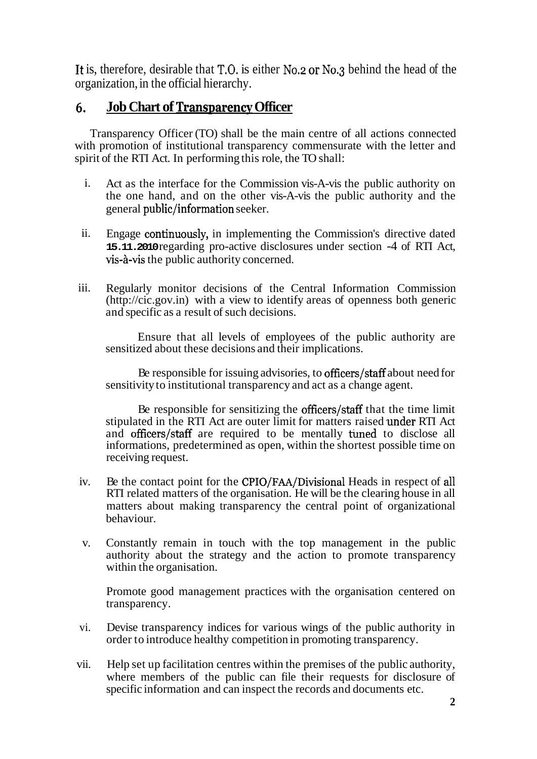It is, therefore, desirable that T.O. is either N0.2 or No.3 behind the head of the organization, in the official hierarchy.

## **Job Chart of Transparency Officer** 6.

Transparency Officer (TO) shall be the main centre of all actions connected with promotion of institutional transparency commensurate with the letter and spirit of the RTI Act. In performing this role, the TO shall:

- i. Act as the interface for the Commission vis-A-vis the public authority on the one hand, and on the other vis-A-vis the public authority and the general public/information seeker.
- ii. Engage continuously, in implementing the Commission's directive dated **15.11.2010** regarding pro-active disclosures under section -4 of RTI Act, vis-à-vis the public authority concerned.
- iii. Regularly monitor decisions of the Central Information Commission (http://cic.gov.in) with a view to identify areas of openness both generic and specific as a result of such decisions.

Ensure that all levels of employees of the public authority are sensitized about these decisions and their implications.

Be responsible for issuing advisories, to officers/staff about need for sensitivity to institutional transparency and act as a change agent.

Be responsible for sensitizing the officers/staff that the time limit stipulated in the RTI Act are outer limit for matters raised under RTI Act and officers/staff are required to be mentally funed to disclose all informations, predetermined as open, within the shortest possible time on receiving request.

- iv. Be the contact point for the CPIO/FAA/Divisional Heads in respect of all RTI related matters of the organisation. He will be the clearing house in all matters about making transparency the central point of organizational behaviour.
- v. Constantly remain in touch with the top management in the public authority about the strategy and the action to promote transparency within the organisation.

Promote good management practices with the organisation centered on transparency.

- vi. Devise transparency indices for various wings of the public authority in order to introduce healthy competition in promoting transparency.
- vii. Help set up facilitation centres within the premises of the public authority, where members of the public can file their requests for disclosure of specific information and can inspect the records and documents etc.